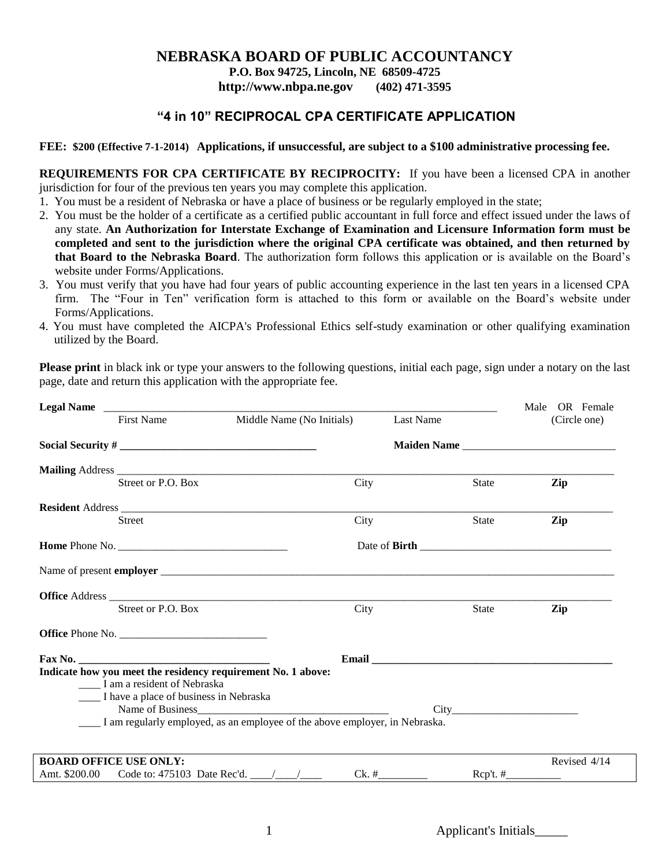#### **NEBRASKA BOARD OF PUBLIC ACCOUNTANCY**

**P.O. Box 94725, Lincoln, NE 68509-4725**

**http://www.nbpa.ne.gov (402) 471-3595**

### **"4 in 10" RECIPROCAL CPA CERTIFICATE APPLICATION**

#### **FEE: \$200 (Effective 7-1-2014) Applications, if unsuccessful, are subject to a \$100 administrative processing fee.**

**REQUIREMENTS FOR CPA CERTIFICATE BY RECIPROCITY:** If you have been a licensed CPA in another jurisdiction for four of the previous ten years you may complete this application.

- 1. You must be a resident of Nebraska or have a place of business or be regularly employed in the state;
- 2. You must be the holder of a certificate as a certified public accountant in full force and effect issued under the laws of any state. **An Authorization for Interstate Exchange of Examination and Licensure Information form must be completed and sent to the jurisdiction where the original CPA certificate was obtained, and then returned by that Board to the Nebraska Board**. The authorization form follows this application or is available on the Board's website under Forms/Applications.
- 3. You must verify that you have had four years of public accounting experience in the last ten years in a licensed CPA firm. The "Four in Ten" verification form is attached to this form or available on the Board's website under Forms/Applications.
- 4. You must have completed the AICPA's Professional Ethics self-study examination or other qualifying examination utilized by the Board.

**Please print** in black ink or type your answers to the following questions, initial each page, sign under a notary on the last page, date and return this application with the appropriate fee.

| Legal Name                                                                                  |                                                                             |                                                                                                                                                                                                                               |              | Male OR Female                                                                                                                                                                                                                 |
|---------------------------------------------------------------------------------------------|-----------------------------------------------------------------------------|-------------------------------------------------------------------------------------------------------------------------------------------------------------------------------------------------------------------------------|--------------|--------------------------------------------------------------------------------------------------------------------------------------------------------------------------------------------------------------------------------|
| <b>First Name</b>                                                                           | Middle Name (No Initials)                                                   | Last Name                                                                                                                                                                                                                     |              | (Circle one)                                                                                                                                                                                                                   |
|                                                                                             |                                                                             |                                                                                                                                                                                                                               |              |                                                                                                                                                                                                                                |
|                                                                                             |                                                                             |                                                                                                                                                                                                                               |              |                                                                                                                                                                                                                                |
| Street or P.O. Box                                                                          | City                                                                        |                                                                                                                                                                                                                               | <b>State</b> | Zip                                                                                                                                                                                                                            |
|                                                                                             |                                                                             |                                                                                                                                                                                                                               |              |                                                                                                                                                                                                                                |
| Street                                                                                      | City                                                                        |                                                                                                                                                                                                                               | State        | Zip                                                                                                                                                                                                                            |
| <b>Home</b> Phone No.                                                                       |                                                                             |                                                                                                                                                                                                                               |              |                                                                                                                                                                                                                                |
|                                                                                             |                                                                             |                                                                                                                                                                                                                               |              |                                                                                                                                                                                                                                |
| Office Address                                                                              |                                                                             |                                                                                                                                                                                                                               |              |                                                                                                                                                                                                                                |
| Street or P.O. Box                                                                          | City                                                                        |                                                                                                                                                                                                                               | State        | Zip                                                                                                                                                                                                                            |
| <b>Office</b> Phone No.                                                                     |                                                                             |                                                                                                                                                                                                                               |              |                                                                                                                                                                                                                                |
| $\text{Fax No.}$                                                                            |                                                                             | Email and the contract of the contract of the contract of the contract of the contract of the contract of the contract of the contract of the contract of the contract of the contract of the contract of the contract of the |              |                                                                                                                                                                                                                                |
| Indicate how you meet the residency requirement No. 1 above:<br>I am a resident of Nebraska |                                                                             |                                                                                                                                                                                                                               |              |                                                                                                                                                                                                                                |
| ____ I have a place of business in Nebraska                                                 |                                                                             |                                                                                                                                                                                                                               |              |                                                                                                                                                                                                                                |
|                                                                                             |                                                                             |                                                                                                                                                                                                                               |              | City the contract of the contract of the contract of the contract of the contract of the contract of the contract of the contract of the contract of the contract of the contract of the contract of the contract of the contr |
|                                                                                             | I am regularly employed, as an employee of the above employer, in Nebraska. |                                                                                                                                                                                                                               |              |                                                                                                                                                                                                                                |
|                                                                                             |                                                                             |                                                                                                                                                                                                                               |              |                                                                                                                                                                                                                                |
| <b>BOARD OFFICE USE ONLY:</b>                                                               |                                                                             |                                                                                                                                                                                                                               |              | Revised 4/14                                                                                                                                                                                                                   |
|                                                                                             |                                                                             |                                                                                                                                                                                                                               | $Rep't. \#$  | <u>records</u> the contract of the contract of                                                                                                                                                                                 |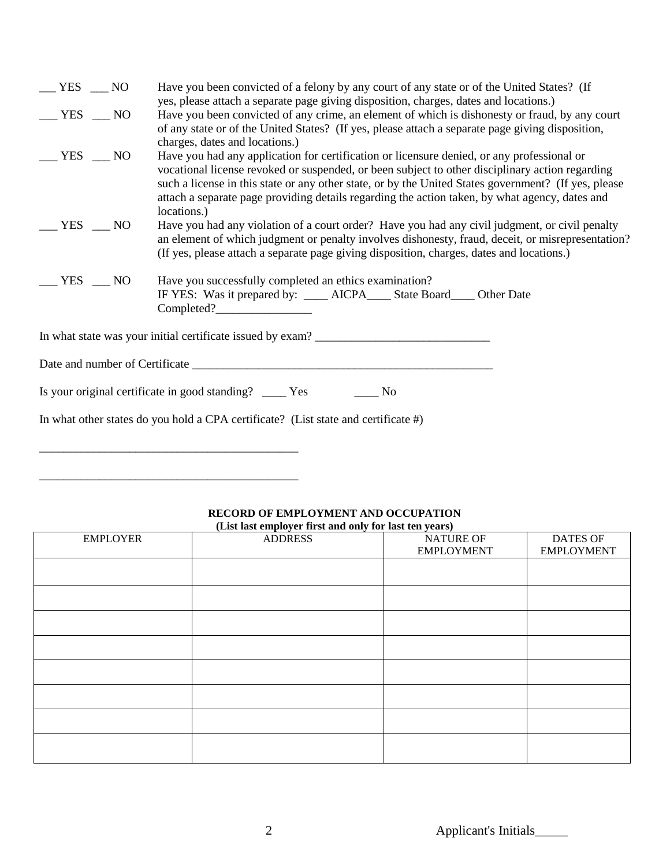| $-$ YES $-$ NO  | Have you been convicted of a felony by any court of any state or of the United States? (If                                                                                                                                                                                                                                                                                                                             |  |  |  |  |
|-----------------|------------------------------------------------------------------------------------------------------------------------------------------------------------------------------------------------------------------------------------------------------------------------------------------------------------------------------------------------------------------------------------------------------------------------|--|--|--|--|
| $-$ YES $-$ NO  | yes, please attach a separate page giving disposition, charges, dates and locations.)<br>Have you been convicted of any crime, an element of which is dishonesty or fraud, by any court<br>of any state or of the United States? (If yes, please attach a separate page giving disposition,<br>charges, dates and locations.)                                                                                          |  |  |  |  |
| $-$ YES $-$ NO  | Have you had any application for certification or licensure denied, or any professional or<br>vocational license revoked or suspended, or been subject to other disciplinary action regarding<br>such a license in this state or any other state, or by the United States government? (If yes, please<br>attach a separate page providing details regarding the action taken, by what agency, dates and<br>locations.) |  |  |  |  |
| $YES$ NO        | Have you had any violation of a court order? Have you had any civil judgment, or civil penalty<br>an element of which judgment or penalty involves dishonesty, fraud, deceit, or misrepresentation?<br>(If yes, please attach a separate page giving disposition, charges, dates and locations.)                                                                                                                       |  |  |  |  |
| $YES$ $\_\_$ NO | Have you successfully completed an ethics examination?<br>IF YES: Was it prepared by: ____ AICPA____ State Board___ Other Date                                                                                                                                                                                                                                                                                         |  |  |  |  |
|                 |                                                                                                                                                                                                                                                                                                                                                                                                                        |  |  |  |  |
|                 |                                                                                                                                                                                                                                                                                                                                                                                                                        |  |  |  |  |
|                 | Is your original certificate in good standing? ______ Yes<br>N <sub>0</sub>                                                                                                                                                                                                                                                                                                                                            |  |  |  |  |
|                 | In what other states do you hold a CPA certificate? (List state and certificate $#$ )                                                                                                                                                                                                                                                                                                                                  |  |  |  |  |

# EMPLOYER ADDRESS NATURE OF EMPLOYMENT DATES OF EMPLOYMENT

## **RECORD OF EMPLOYMENT AND OCCUPATION (List last employer first and only for last ten years)**

\_\_\_\_\_\_\_\_\_\_\_\_\_\_\_\_\_\_\_\_\_\_\_\_\_\_\_\_\_\_\_\_\_\_\_\_\_\_\_\_\_\_\_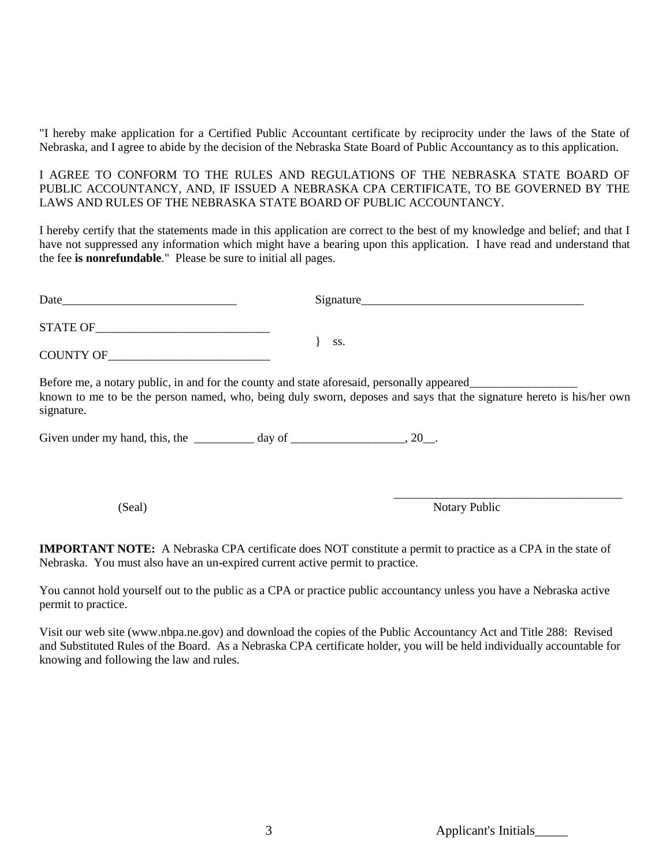"I hereby make application for a Certified Public Accountant certificate by reciprocity under the laws of the State of Nebraska, and I agree to abide by the decision of the Nebraska State Board of Public Accountancy as to this application.

I AGREE TO CONFORM TO THE RULES AND REGULATIONS OF THE NEBRASKA STATE BOARD OF PUBLIC ACCOUNTANCY, AND, IF ISSUED A NEBRASKA CPA CERTIFICATE, TO BE GOVERNED BY THE LAWS AND RULES OF THE NEBRASKA STATE BOARD OF PUBLIC ACCOUNTANCY.

I hereby certify that the statements made in this application are correct to the best of my knowledge and belief; and that I have not suppressed any information which might have a bearing upon this application. I have read and understand that the fee **is nonrefundable**." Please be sure to initial all pages.

|                                                                                                          | Signature                                                                                                            |
|----------------------------------------------------------------------------------------------------------|----------------------------------------------------------------------------------------------------------------------|
|                                                                                                          |                                                                                                                      |
| COUNTY OF                                                                                                | SS.                                                                                                                  |
| Before me, a notary public, in and for the county and state aforesaid, personally appeared<br>signature. | known to me to be the person named, who, being duly sworn, deposes and says that the signature hereto is his/her own |
| Given under my hand, this, the $\frac{1}{\text{day of}}$ day of $\frac{1}{\text{day of}}$ , 20.          |                                                                                                                      |
|                                                                                                          |                                                                                                                      |
|                                                                                                          |                                                                                                                      |

(Seal) Notary Public

**IMPORTANT NOTE:** A Nebraska CPA certificate does NOT constitute a permit to practice as a CPA in the state of Nebraska. You must also have an un-expired current active permit to practice.

You cannot hold yourself out to the public as a CPA or practice public accountancy unless you have a Nebraska active permit to practice.

Visit our web site (www.nbpa.ne.gov) and download the copies of the Public Accountancy Act and Title 288: Revised and Substituted Rules of the Board. As a Nebraska CPA certificate holder, you will be held individually accountable for knowing and following the law and rules.